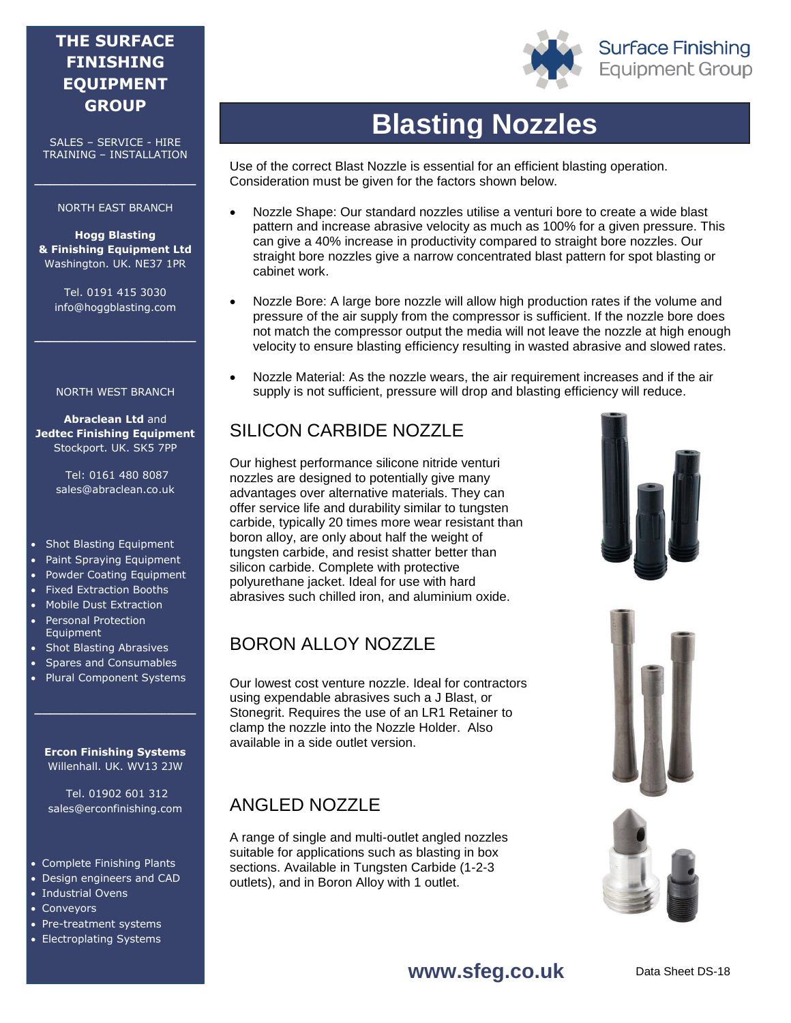### **THE SURFACE FINISHING EQUIPMENT GROUP**

SALES – SERVICE - HIRE TRAINING – INSTALLATION

#### NORTH EAST BRANCH

**\_\_\_\_\_\_\_\_\_\_\_\_\_\_\_\_\_\_\_\_\_\_**

**Hogg Blasting & Finishing Equipment Ltd** Washington. UK. NE37 1PR

Tel. 0191 415 3030 info@hoggblasting.com

**\_\_\_\_\_\_\_\_\_\_\_\_\_\_\_\_\_\_\_\_\_\_**

#### NORTH WEST BRANCH

**Abraclean Ltd** and **Jedtec Finishing Equipment** Stockport. UK. SK5 7PP

> Tel: 0161 480 8087 sales@abraclean.co.uk

- Shot Blasting Equipment
- Paint Spraying Equipment
- Powder Coating Equipment
- Fixed Extraction Booths
- Mobile Dust Extraction
- Personal Protection Equipment
- Shot Blasting Abrasives
- Spares and Consumables
- Plural Component Systems

**Ercon Finishing Systems** Willenhall. UK. WV13 2JW

**\_\_\_\_\_\_\_\_\_\_\_\_\_\_\_\_\_\_\_\_\_\_**

Tel. 01902 601 312 sales@erconfinishing.com

- Complete Finishing Plants
- Design engineers and CAD
- Industrial Ovens
- Conveyors
- Pre-treatment systems
- Electroplating Systems



Use of the correct Blast Nozzle is essential for an efficient blasting operation. Consideration must be given for the factors shown below.

- Nozzle Shape: Our standard nozzles utilise a venturi bore to create a wide blast pattern and increase abrasive velocity as much as 100% for a given pressure. This can give a 40% increase in productivity compared to straight bore nozzles. Our straight bore nozzles give a narrow concentrated blast pattern for spot blasting or cabinet work.
- Nozzle Bore: A large bore nozzle will allow high production rates if the volume and pressure of the air supply from the compressor is sufficient. If the nozzle bore does not match the compressor output the media will not leave the nozzle at high enough velocity to ensure blasting efficiency resulting in wasted abrasive and slowed rates.
- Nozzle Material: As the nozzle wears, the air requirement increases and if the air supply is not sufficient, pressure will drop and blasting efficiency will reduce.

## SILICON CARBIDE NOZZLE

Our highest performance silicone nitride venturi nozzles are designed to potentially give many advantages over alternative materials. They can offer service life and durability similar to tungsten carbide, typically 20 times more wear resistant than boron alloy, are only about half the weight of tungsten carbide, and resist shatter better than silicon carbide. Complete with protective polyurethane jacket. Ideal for use with hard abrasives such chilled iron, and aluminium oxide.

### BORON ALLOY NOZZLE

Our lowest cost venture nozzle. Ideal for contractors using expendable abrasives such a J Blast, or Stonegrit. Requires the use of an LR1 Retainer to clamp the nozzle into the Nozzle Holder. Also available in a side outlet version.

### ANGLED NOZZLE

A range of single and multi-outlet angled nozzles suitable for applications such as blasting in box sections. Available in Tungsten Carbide (1-2-3 outlets), and in Boron Alloy with 1 outlet.







#### **www.sfeg.co.uk**